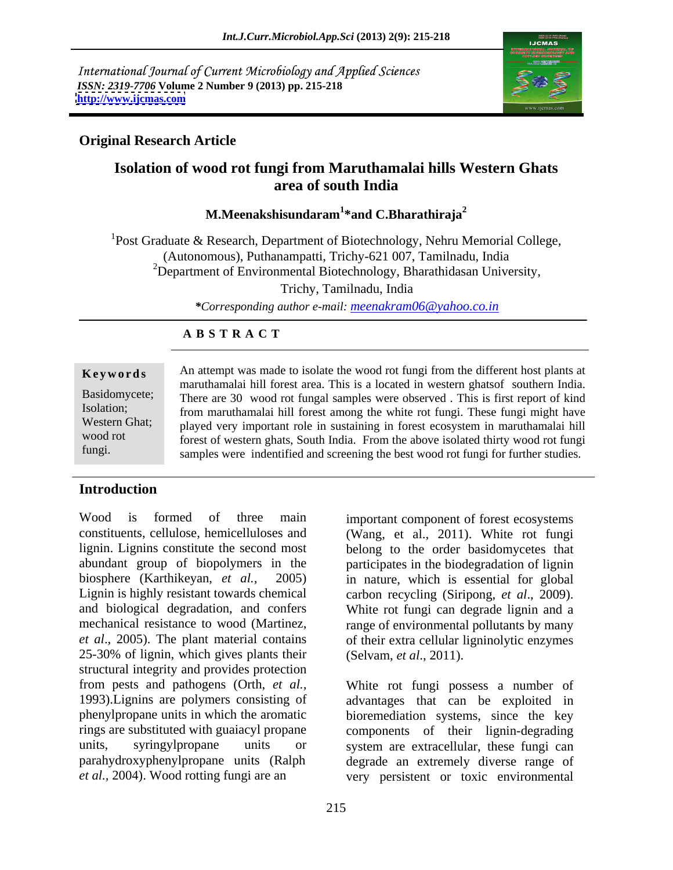International Journal of Current Microbiology and Applied Sciences *ISSN: 2319-7706* **Volume 2 Number 9 (2013) pp. 215-218 <http://www.ijcmas.com>**



### **Original Research Article**

## **Isolation of wood rot fungi from Maruthamalai hills Western Ghats area of south India**

### **M.Meenakshisundaram<sup>1</sup> \*and C.Bharathiraja<sup>2</sup>**

<sup>1</sup>Post Graduate & Research, Department of Biotechnology, Nehru Memorial College, (Autonomous), Puthanampatti, Trichy-621 007, Tamilnadu, India <sup>2</sup>Department of Environmental Biotechnology, Bharathidasan University,

Trichy, Tamilnadu, India

*\*Corresponding author e-mail: meenakram06@yahoo.co.in*

### **A B S T R A C T**

**Keywords** An attempt was made to isolate the wood rot fungi from the different host plants at Basidomycete; There are 30 wood rot fungal samples were observed. This is first report of kind Isolation; from maruthamalai hill forest among the white rot fungi. These fungi might have Western Ghat; played very important role in sustaining in forest ecosystem in maruthamalai hill wood rot forest of western ghats, South India. From the above isolated thirty wood rot fungi fungi. Samples were indentified and screening the best wood rot fungi for further studies. maruthamalai hill forest area. This is a located in western ghatsof southern India.

### **Introduction**

Wood is formed of three main important component of forest ecosystems constituents, cellulose, hemicelluloses and (Wang, et al., 2011). White rot fungi lignin. Lignins constitute the second most belong to the order basidomycetes that abundant group of biopolymers in the participates in the biodegradation of lignin biosphere (Karthikeyan, *et al.,* 2005) in nature, which is essential for global Lignin is highly resistant towards chemical carbon recycling (Siripong, et al., 2009). and biological degradation, and confers<br>mechanical resistance to wood (Martinez, angle of environmental pollutants by many mechanical resistance to wood (Martinez, range of environmental pollutants by many *et al*., 2005). The plant material contains of their extra cellular ligninolytic enzymes 25-30% of lignin, which gives plants their (Selvam, et al., 2011). structural integrity and provides protection<br>from pests and pathogens (Orth, *et al.*, 1993).Lignins are polymers consisting of advantages that can be exploited in phenylpropane units in which the aromatic bioremediation systems, since the key rings are substituted with guaiacyl propane components of their lignin-degrading units, syringylpropane units or system are extracellular, these fungi can parahydroxyphenylpropane units (Ralph degrade an extremely diverse range of

carbon recycling (Siripong, *et al*., 2009). White rot fungi can degrade lignin and <sup>a</sup>

White rot fungi possess a number of *et al.,* 2004). Wood rotting fungi are an very persistent or toxic environmental (Selvam, *et al*., 2011). White rot fungi possess <sup>a</sup> number of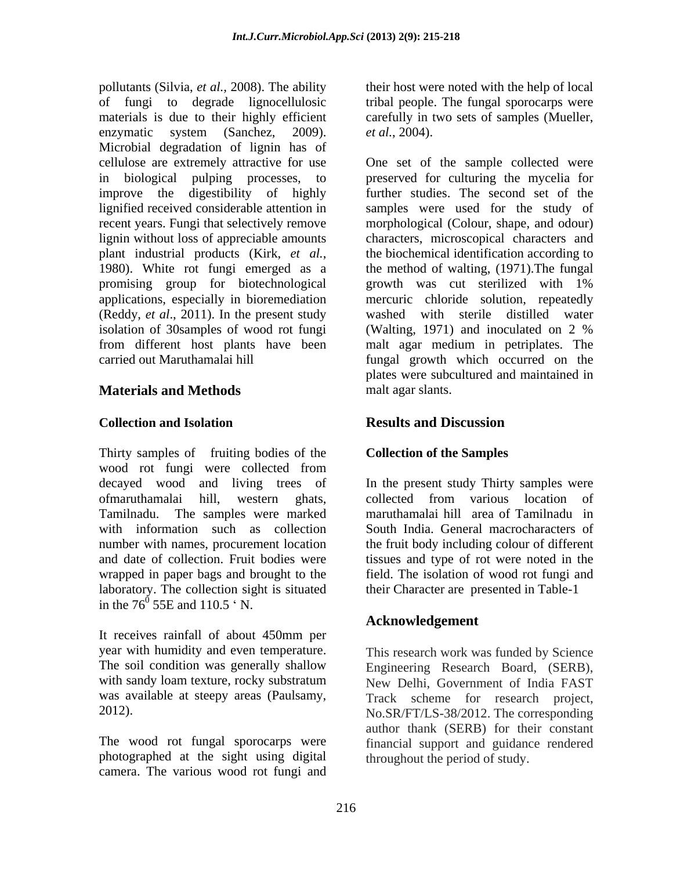pollutants (Silvia, *et al.,* 2008). The ability their host were noted with the help of local of fungi to degrade lignocellulosic tribal people. The fungal sporocarps were materials is due to their highly efficient carefully in two sets of samples (Mueller, enzymatic system (Sanchez, 2009). *et al.*, 2004). Microbial degradation of lignin has of cellulose are extremely attractive for use One set of the sample collected were improve the digestibility of highly lignin without loss of appreciable amounts promising group for biotechnological isolation of 30samples of wood rot fungi (Walting, 1971) and inoculated on 2 %

### **Materials and Methods**

Thirty samples of fruiting bodies of the wood rot fungi were collected from ofmaruthamalai hill, western ghats, wrapped in paper bags and brought to the laboratory. The collection sight is situated in the  $76^{\circ}$  55E and 110.5  $\cdot$  N.  $55E$  and  $110.5$   $\cdot$  N.

It receives rainfall of about 450mm per year with humidity and even temperature. This research work was funded by Science

photographed at the sight using digital camera. The various wood rot fungi and

in biological pulping processes, to preserved for culturing the mycelia for lignified received considerable attention in samples were used for the study of recent years. Fungi that selectively remove morphological (Colour, shape, and odour) plant industrial products (Kirk, *et al.*, the biochemical identification according to 1980). White rot fungi emerged as a the method of walting, (1971). The fungal applications, especially in bioremediation mercuric chloride solution, repeatedly (Reddy, *et al*., 2011). In the present study washed with sterile distilled water from different host plants have been malt agar medium in petriplates. The carried out Maruthamalai hill fungal growth which occurred on the *et al.*, 2004). One set of the sample collected were further studies. The second set of the characters, microscopical characters and the biochemical identification according to the method of walting, (1971).The fungal growth was cut sterilized with 1% (Walting, 1971) and inoculated on 2 % plates were subcultured and maintained in malt agar slants.

### **Collection and Isolation Results and Discussion**

## **Collection of the Samples**

decayed wood and living trees of In the present study Thirty samples were Tamilnadu. The samples were marked maruthamalai hill area of Tamilnadu in with information such as collection South India. General macrocharacters of number with names, procurement location the fruit body including colour of different and date of collection. Fruit bodies were tissues and type of rot were noted in the collected from various location of field. The isolation of wood rot fungi and their Character are presented in Table-1

## **Acknowledgement**

The soil condition was generally shallow Engineering Research Board, (SERB), with sandy loam texture, rocky substratum New Delhi, Government of India FAST was available at steepy areas (Paulsamy, Track scheme for research project, 2012).<br>
2012. The corresponding<br>
2012. The corresponding<br>
2012. The corresponding<br>
2012. The corresponding<br>
2012. The corresponding<br>
2012. The corresponding<br>
2012. The corresponding<br>
2012. The corresponding<br>
2013. The wood No.SR/FT/LS-38/2012. The corresponding author thank (SERB) for their constant financial support and guidance rendered throughout the period of study.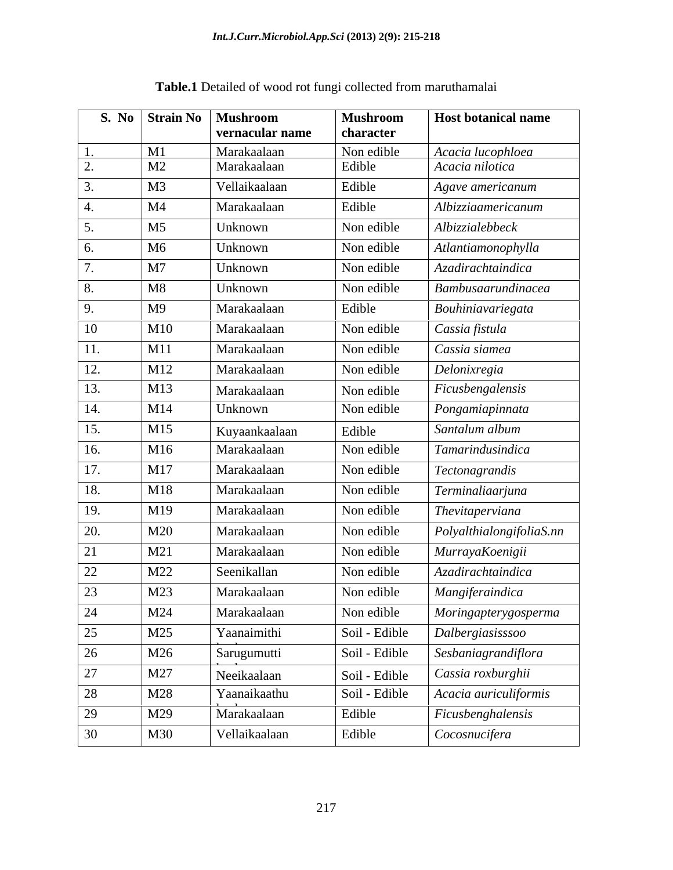|             | S. No Strain No   Mushroom | vernacular name                     | <b>Mushroom</b><br>character | <b>Host botanical name</b> |
|-------------|----------------------------|-------------------------------------|------------------------------|----------------------------|
|             | M1                         | Marakaalaan                         | Non edible                   | Acacia lucophloea          |
|             | M <sub>2</sub>             | Marakaalaan                         | Edible                       | Acacia nilotica            |
|             | M <sub>3</sub>             | Vellaikaalaan                       | Edible                       | Agave americanum           |
|             | M4                         | Marakaalaan                         | Edible                       | Albizziaamericanum         |
|             | M <sub>5</sub>             | Unknown                             | Non edible                   | Albizzialebbeck            |
|             | M <sub>6</sub>             | Unknown                             | Non edible                   | Atlantiamonophylla         |
|             | M7                         | Unknown                             | Non edible                   | Azadirachtaindica          |
|             | M8                         | Unknown                             | Non edible                   | Bambusaarundinacea         |
| Q           | M <sup>9</sup>             | Marakaalaan                         | Edible                       | Bouhiniavariegata          |
| 10          | M10                        | Marakaalaan                         | Non edible                   | Cassia fistula             |
| 11.         | M11                        | Marakaalaan                         | Non edible                   | Cassia siamea              |
| 12.         | M12                        | Marakaalaan                         | Non edible                   | Delonixregia               |
| 13.         | M13                        | Marakaalaan                         | Non edible                   | Ficusbengalensis           |
| 14.         | M14                        | Unknown                             | Non edible                   | Pongamiapinnata            |
| 15.         | M15                        | Kuyaankaalaan                       | Edible                       | Santalum album             |
| 16.         | M16                        | Marakaalaan                         | Non edible                   | Tamarindusindica           |
| $\perp$ 17. | M17                        | Marakaalaan                         | Non edible                   | Tectonagrandis             |
| 18.         | M18                        | Marakaalaan                         | Non edible                   | Terminaliaarjuna           |
| 19.         | M19                        | Marakaalaan                         | Non edible                   | Thevitaperviana            |
| 20.         | M20                        | Marakaalaan                         | Non edible                   | PolyalthialongifoliaS.nn   |
|             | M21                        | Marakaalaan                         | Non edible                   | MurrayaKoenigii            |
| 22          | M22                        | Seenikallan                         | Non edible                   | Azadirachtaindica          |
| 23          | M23                        | Marakaalaan                         | Non edible                   | Mangiferaindica            |
| 24          | M24                        | Marakaalaan                         | Non edible                   | Moringapterygosperma       |
| 25          | M25                        | Yaanaimithi                         | Soil - Edible                | Dalbergiasisssoo           |
| 26          | M26                        | $\sim$ $\sim$ $\sim$<br>Sarugumutti | Soil - Edible                | Sesbaniagrandiflora        |
| 27          | M27                        | Neeikaalaan                         | Soil - Edible                | Cassia roxburghii          |
| 28          | M28                        | Yaanaikaathu                        | Soil - Edible                | Acacia auriculiformis      |
| 29          | M29                        |                                     |                              |                            |
|             |                            | Marakaalaan                         | Edible                       | Ficusbenghalensis          |

# **Table.1** Detailed of wood rot fungi collected from maruthamalai